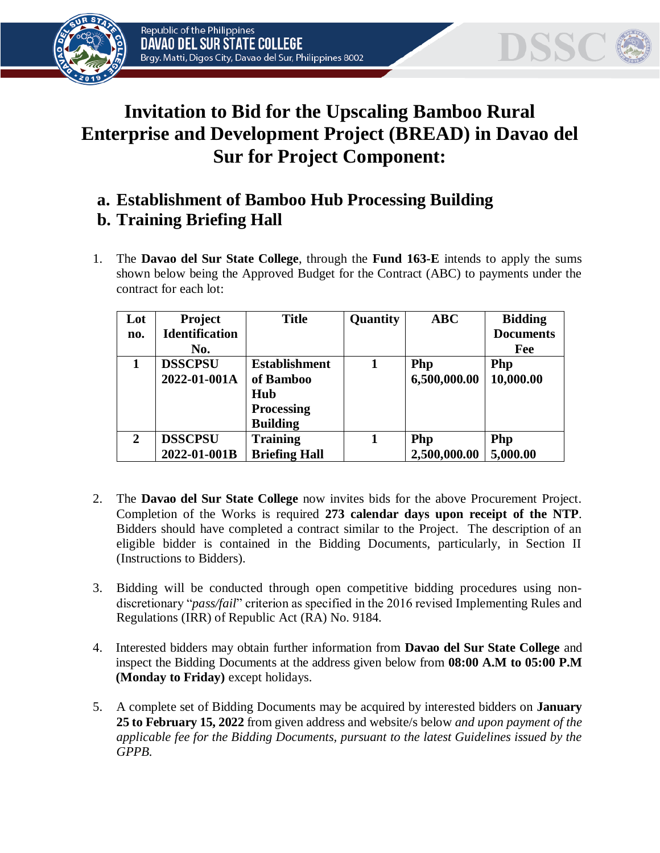



## **Invitation to Bid for the Upscaling Bamboo Rural Enterprise and Development Project (BREAD) in Davao del Sur for Project Component:**

## **a. Establishment of Bamboo Hub Processing Building b. Training Briefing Hall**

1. The **Davao del Sur State College**, through the **Fund 163-E** intends to apply the sums shown below being the Approved Budget for the Contract (ABC) to payments under the contract for each lot:

| Lot            | <b>Project</b>        | <b>Title</b>         | Quantity | ABC          | <b>Bidding</b>   |
|----------------|-----------------------|----------------------|----------|--------------|------------------|
| no.            | <b>Identification</b> |                      |          |              | <b>Documents</b> |
|                | No.                   |                      |          |              | Fee              |
|                | <b>DSSCPSU</b>        | <b>Establishment</b> |          | Php          | Php              |
|                | 2022-01-001A          | of Bamboo            |          | 6,500,000.00 | 10,000.00        |
|                |                       | Hub                  |          |              |                  |
|                |                       | <b>Processing</b>    |          |              |                  |
|                |                       | <b>Building</b>      |          |              |                  |
| $\overline{2}$ | <b>DSSCPSU</b>        | <b>Training</b>      |          | Php          | Php              |
|                | 2022-01-001B          | <b>Briefing Hall</b> |          | 2,500,000.00 | 5,000.00         |

- 2. The **Davao del Sur State College** now invites bids for the above Procurement Project. Completion of the Works is required **273 calendar days upon receipt of the NTP**. Bidders should have completed a contract similar to the Project. The description of an eligible bidder is contained in the Bidding Documents, particularly, in Section II (Instructions to Bidders).
- 3. Bidding will be conducted through open competitive bidding procedures using nondiscretionary "*pass/fail*" criterion as specified in the 2016 revised Implementing Rules and Regulations (IRR) of Republic Act (RA) No. 9184.
- 4. Interested bidders may obtain further information from **Davao del Sur State College** and inspect the Bidding Documents at the address given below from **08:00 A.M to 05:00 P.M (Monday to Friday)** except holidays.
- 5. A complete set of Bidding Documents may be acquired by interested bidders on **January 25 to February 15, 2022** from given address and website/s below *and upon payment of the applicable fee for the Bidding Documents, pursuant to the latest Guidelines issued by the GPPB.*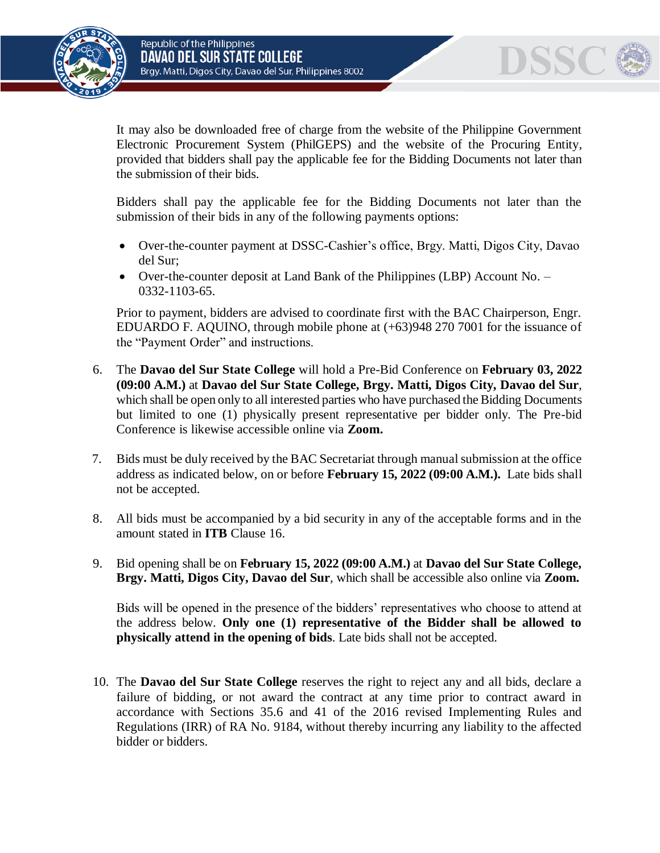



It may also be downloaded free of charge from the website of the Philippine Government Electronic Procurement System (PhilGEPS) and the website of the Procuring Entity*,*  provided that bidders shall pay the applicable fee for the Bidding Documents not later than the submission of their bids.

Bidders shall pay the applicable fee for the Bidding Documents not later than the submission of their bids in any of the following payments options:

- Over-the-counter payment at DSSC-Cashier's office, Brgy. Matti, Digos City, Davao del Sur;
- Over-the-counter deposit at Land Bank of the Philippines (LBP) Account No. 0332-1103-65.

Prior to payment, bidders are advised to coordinate first with the BAC Chairperson, Engr. EDUARDO F. AQUINO, through mobile phone at (+63)948 270 7001 for the issuance of the "Payment Order" and instructions.

- 6. The **Davao del Sur State College** will hold a Pre-Bid Conference on **February 03, 2022 (09:00 A.M.)** at **Davao del Sur State College, Brgy. Matti, Digos City, Davao del Sur***,*  which shall be open only to all interested parties who have purchased the Bidding Documents but limited to one (1) physically present representative per bidder only. The Pre-bid Conference is likewise accessible online via **Zoom.**
- 7. Bids must be duly received by the BAC Secretariat through manual submission at the office address as indicated below, on or before **February 15, 2022 (09:00 A.M.).** Late bids shall not be accepted.
- 8. All bids must be accompanied by a bid security in any of the acceptable forms and in the amount stated in **ITB** Clause 16.
- 9. Bid opening shall be on **February 15, 2022 (09:00 A.M.)** at **Davao del Sur State College, Brgy. Matti, Digos City, Davao del Sur***,* which shall be accessible also online via **Zoom.**

Bids will be opened in the presence of the bidders' representatives who choose to attend at the address below. **Only one (1) representative of the Bidder shall be allowed to physically attend in the opening of bids**. Late bids shall not be accepted.

10. The **Davao del Sur State College** reserves the right to reject any and all bids, declare a failure of bidding, or not award the contract at any time prior to contract award in accordance with Sections 35.6 and 41 of the 2016 revised Implementing Rules and Regulations (IRR) of RA No. 9184, without thereby incurring any liability to the affected bidder or bidders.